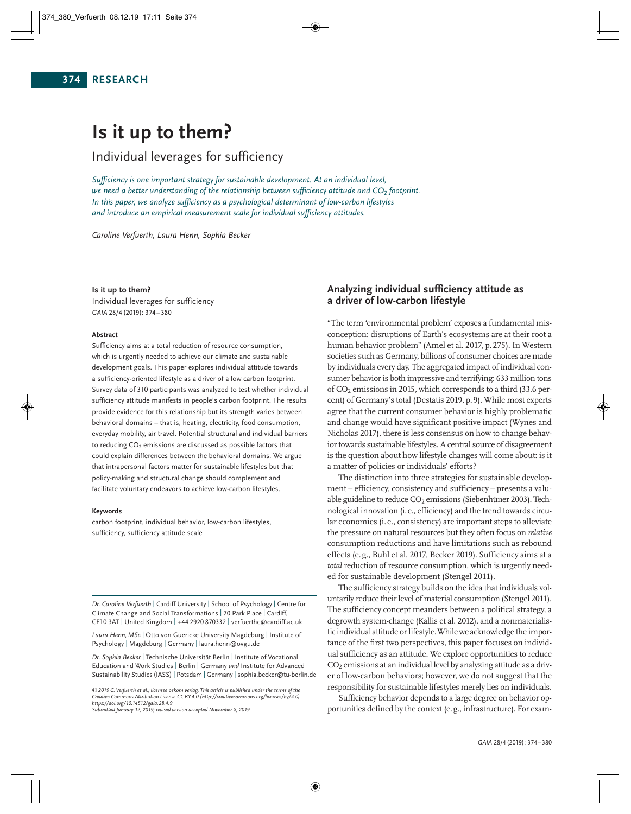# **Is it up to them?**

# Individual leverages for sufficiency

*Sufficiency is one important strategy for sustainable development. At an individual level, we need a better understanding of the relationship between sufficiency attitude and CO2 footprint. In this paper, we analyze sufficiency as a psychological determinant of low-carbon lifestyles and introduce an empirical measurement scale for individual sufficiency attitudes.*

*Caroline Verfuerth, Laura Henn, Sophia Becker*

# **Is it up to them?**

Individual leverages for sufficiency *GAIA* 28/4 (2019): 374 – 380

#### **Abstract**

Sufficiency aims at a total reduction of resource consumption, which is urgently needed to achieve our climate and sustainable development goals. This paper explores individual attitude towards a sufficiency-oriented lifestyle as a driver of a low carbon footprint. Survey data of 310 participants was analyzed to test whether individual sufficiency attitude manifests in people's carbon footprint. The results provide evidence for this relationship but its strength varies between behavioral domains – that is, heating, electricity, food consumption, everyday mobility, air travel. Potential structural and individual barriers to reducing  $CO<sub>2</sub>$  emissions are discussed as possible factors that could explain differences between the behavioral domains. We argue that intrapersonal factors matter for sustainable lifestyles but that policy-making and structural change should complement and facilitate voluntary endeavors to achieve low-carbon lifestyles.

#### **Keywords**

carbon footprint, individual behavior, low-carbon lifestyles, sufficiency, sufficiency attitude scale

*Dr. Caroline Verfuerth* | Cardiff University | School of Psychology | Centre for Climate Change and Social Transformations | 70 Park Place | Cardiff, CF10 3AT | United Kingdom | +44 2920 870332 | verfuerthc@cardiff.ac.uk

*Laura Henn, MSc* | Otto von Guericke University Magdeburg | Institute of Psychology | Magdeburg | Germany | laura.henn@ovgu.de

*Dr. Sophia Becker* | Technische Universität Berlin | Institute of Vocational Education and Work Studies | Berlin | Germany *and* Institute for Advanced Sustainability Studies(IASS) | Potsdam | Germany | sophia.becker@tu-berlin.de

*©2019 C. Verfuerth et al.; licensee oekom verlag. This article is published under the terms of the Creative Commons Attribution License CC BY 4.0 (http://creativecommons.org/licenses/by/4.0). https://doi.org/10.14512/gaia.28.4.9*

*Submitted January 12, 2019; revised version accepted November 8, 2019.*

# **Analyzing individual sufficiency attitude as a driver of low-carbon lifestyle**

"The term 'environmental problem' exposes a fundamental misconception: disruptions of Earth's ecosystems are at their root a human behavior problem" (Amel et al. 2017, p.275). In Western societies such as Germany, billions of consumer choices are made by individuals every day. The aggregated impact of individual consumer behavior is both impressive and terrifying: 633 million tons of  $CO<sub>2</sub>$  emissions in 2015, which corresponds to a third (33.6 percent) of Germany's total (Destatis 2019, p.9). While most experts agree that the current consumer behavior is highly problematic and change would have significant positive impact (Wynes and Nicholas 2017), there is less consensus on how to change behavior towards sustainable lifestyles. A central source of disagreement is the question about how lifestyle changes will come about: is it a matter of policies or individuals' efforts?

The distinction into three strategies for sustainable development – efficiency, consistency and sufficiency – presents a valuable guideline to reduce  $CO<sub>2</sub>$  emissions (Siebenhüner 2003). Technological innovation (i.e., efficiency) and the trend towards circular economies (i.e., consistency) are important steps to alleviate the pressure on natural resources but they often focus on *relative* consumption reductions and have limitations such as rebound effects (e.g., Buhl et al. 2017, Becker 2019). Sufficiency aims at a *total* reduction of resource consumption, which is urgently needed for sustainable development (Stengel 2011).

The sufficiency strategy builds on the idea that individuals voluntarily reduce their level of material consumption (Stengel 2011). The sufficiency concept meanders between a political strategy, a degrowth system-change (Kallis et al. 2012), and a nonmaterialistic individual attitude or lifestyle. While we acknowledge the importance of the first two perspectives, this paper focuses on individual sufficiency as an attitude. We explore opportunities to reduce  $CO<sub>2</sub>$  emissions at an individual level by analyzing attitude as a driver of low-carbon behaviors; however, we do not suggest that the responsibility for sustainable lifestyles merely lies on individuals.

Sufficiency behavior depends to a large degree on behavior opportunities defined by the context (e.g., infrastructure). For exam-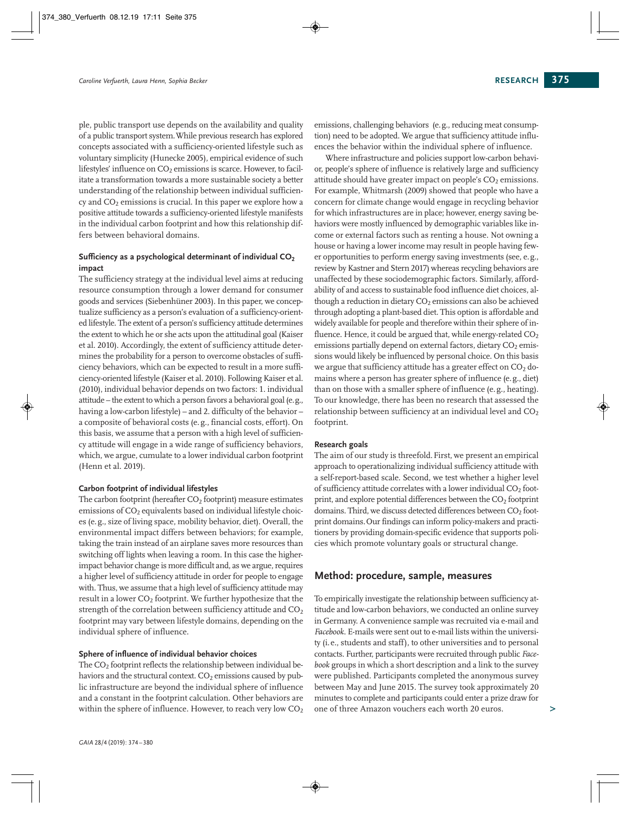ple, public transport use depends on the availability and quality of a public transport system.While previous research has explored concepts associated with a sufficiency-oriented lifestyle such as voluntary simplicity (Hunecke 2005), empirical evidence of such lifestyles' influence on  $CO<sub>2</sub>$  emissions is scarce. However, to facilitate a transformation towards a more sustainable society a better understanding of the relationship between individual sufficiency and  $CO<sub>2</sub>$  emissions is crucial. In this paper we explore how a positive attitude towards a sufficiency-oriented lifestyle manifests in the individual carbon footprint and how this relationship differs between behavioral domains.

# **Sufficiency as a psychological determinant of individual CO2 impact**

The sufficiency strategy at the individual level aims at reducing resource consumption through a lower demand for consumer goods and services (Siebenhüner 2003). In this paper, we concep tualize sufficiency as a person's evaluation of a sufficiency-orient ed lifestyle. The extent of a person's sufficiency attitude determines the extent to which he or she acts upon the attitudinal goal (Kaiser et al. 2010). Accordingly, the extent of sufficiency attitude determines the probability for a person to overcome obstacles of sufficiency behaviors, which can be expected to result in a more sufficiency-oriented lifestyle (Kaiser et al. 2010). Following Kaiser et al. (2010), individual behavior depends on two factors: 1. individual attitude – the extent to which a person favors a behavioral goal (e.g., having a low-carbon lifestyle) – and 2. difficulty of the behavior – a composite of behavioral costs (e.g., financial costs, effort). On this basis, we assume that a person with a high level of sufficiency attitude will engage in a wide range of sufficiency behaviors, which, we argue, cumulate to a lower individual carbon footprint (Henn et al. 2019).

# **Carbon footprint of individual lifestyles**

The carbon footprint (hereafter  $CO<sub>2</sub>$  footprint) measure estimates emissions of CO<sub>2</sub> equivalents based on individual lifestyle choices (e.g., size of living space, mobility behavior, diet). Overall, the environmental impact differs between behaviors; for example, taking the train instead of an airplane saves more resources than switching off lights when leaving a room. In this case the higherimpact behavior change is more difficult and, as we argue, requires a higher level of sufficiency attitude in order for people to engage with. Thus, we assume that a high level of sufficiency attitude may result in a lower CO2 footprint. We further hypothesize that the strength of the correlation between sufficiency attitude and  $CO<sub>2</sub>$ footprint may vary between lifestyle domains, depending on the individual sphere of influence.

#### **Sphere of influence of individual behavior choices**

The CO<sub>2</sub> footprint reflects the relationship between individual behaviors and the structural context.  $CO<sub>2</sub>$  emissions caused by public infrastructure are beyond the individual sphere of influence and a constant in the footprint calculation. Other behaviors are within the sphere of influence. However, to reach very low  $CO<sub>2</sub>$ 

emissions, challenging behaviors (e.g., reducing meat consumption) need to be adopted. We argue that sufficiency attitude influences the behavior within the individual sphere of influence.

Where infrastructure and policies support low-carbon behavior, people's sphere of influence is relatively large and sufficiency attitude should have greater impact on people's  $CO<sub>2</sub>$  emissions. For example, Whitmarsh (2009) showed that people who have a concern for climate change would engage in recycling behavior for which infrastructures are in place; however, energy saving be haviors were mostly influenced by demographic variables like income or external factors such as renting a house. Not owning a house or having a lower income may result in people having fewer opportunities to perform energy saving investments (see, e.g., review by Kastner and Stern 2017) whereas recycling behaviors are unaffected by these sociodemographic factors. Similarly, affordability of and access to sustainable food influence diet choices, although a reduction in dietary  $CO<sub>2</sub>$  emissions can also be achieved through adopting a plant-based diet. This option is affordable and widely available for people and therefore within their sphere of influence. Hence, it could be argued that, while energy-related  $CO<sub>2</sub>$ emissions partially depend on external factors, dietary  $CO<sub>2</sub>$  emissions would likely be influenced by personal choice. On this basis we argue that sufficiency attitude has a greater effect on  $CO<sub>2</sub>$  domains where a person has greater sphere of influence (e.g., diet) than on those with a smaller sphere of influence (e.g., heating). To our knowledge, there has been no research that assessed the relationship between sufficiency at an individual level and  $CO<sub>2</sub>$ footprint.

#### **Research goals**

The aim of our study is threefold. First, we present an empirical approach to operationalizing individual sufficiency attitude with a self-report-based scale. Second, we test whether a higher level of sufficiency attitude correlates with a lower individual  $CO<sub>2</sub>$  footprint, and explore potential differences between the  $CO<sub>2</sub>$  footprint domains. Third, we discuss detected differences between  $CO<sub>2</sub>$  footprint domains. Our findings can inform policy-makers and practitioners by providing domain-specific evidence that supports policies which promote voluntary goals or structural change.

# **Method: procedure, sample, measures**

To empirically investigate the relationship between sufficiency at titude and low-carbon behaviors, we conducted an online survey in Germany. A convenience sample was recruited via e-mail and *Facebook*. E-mails were sent out to e-mail lists within the university (i.e., students and staff), to other universities and to personal contacts. Further, participants were recruited through public *Facebook* groups in which a short description and a link to the survey were published. Participants completed the anonymous survey between May and June 2015. The survey took approximately 20 minutes to complete and participants could enter a prize draw for one of three Amazon vouchers each worth 20 euros.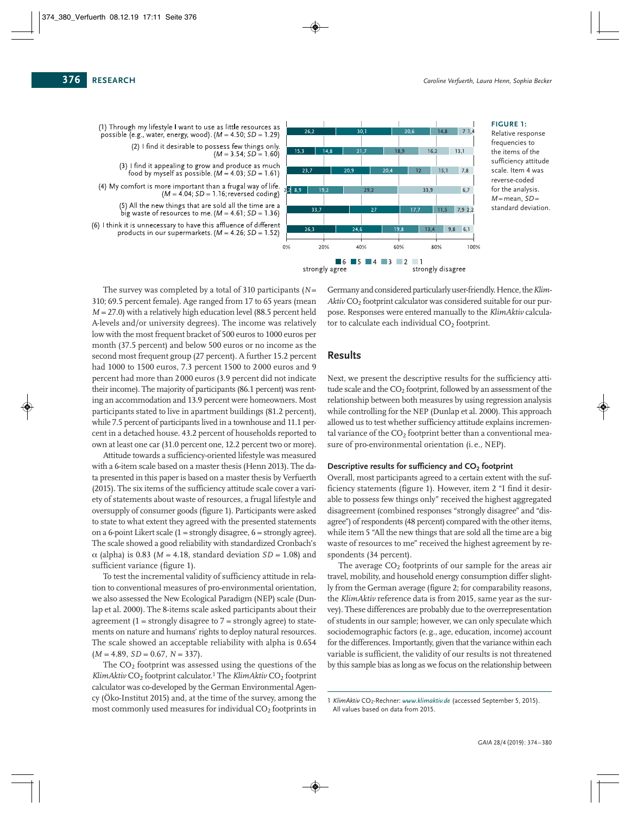(1) Through my lifestyle I want to use as little resources as possible (e.g., water, energy, wood).  $(M = 4.50; SD = 1.29)$ (2) I find it desirable to possess few things only.  $(M = 3.54; SD = 1.60)$ (3) I find it appealing to grow and produce as much food by myself as possible. ( $M = 4.03$ ;  $SD = 1.61$ ) (4) My comfort is more important than a frugal way of life.  $(M = 4.04; SD = 1.16;$  reversed coding) (5) All the new things that are sold all the time are a big waste of resources to me. ( $M = 4.61$ ; SD = 1.36) (6) I think it is unnecessary to have this affluence of different

products in our supermarkets. ( $M = 4.26$ ; SD = 1.52)



#### **FIGURE 1:**

Relative response frequencies to the items of the sufficiency attitude scale. Item 4 was reverse-coded for the analysis. *M*= mean, *SD*= standard deviation.

The survey was completed by a total of 310 participants (*N*= 310; 69.5 percent female). Age ranged from 17 to 65 years (mean *M* = 27.0) with a relatively high education level (88.5 percent held A-levels and/or university degrees). The income was relatively low with the most frequent bracket of 500 euros to 1000 euros per month (37.5 percent) and below 500 euros or no income as the second most frequent group (27 percent). A further 15.2 percent had 1000 to 1500 euros, 7.3 percent 1500 to 2000 euros and 9 percent had more than 2000 euros (3.9 percent did not indicate their income). The majority of participants (86.1 percent) was renting an accommodation and 13.9 percent were homeowners. Most participants stated to live in apartment buildings (81.2 percent), while 7.5 percent of participants lived in a townhouse and 11.1 percent in a detached house. 43.2 percent of households reported to own at least one car (31.0 percent one, 12.2 percent two or more).

Attitude towards a sufficiency-oriented lifestyle was measured with a 6-item scale based on a master thesis (Henn 2013). The data presented in this paper is based on a master thesis by Verfuerth (2015). The six items of the sufficiency attitude scale cover a vari ety of statements about waste of resources, a frugal lifestyle and oversupply of consumer goods (figure 1). Participants were asked to state to what extent they agreed with the presented statements on a 6-point Likert scale (1 = strongly disagree, 6 = strongly agree). The scale showed a good reliability with standardized Cronbach's  $\alpha$  (alpha) is 0.83 ( $M = 4.18$ , standard deviation *SD* = 1.08) and sufficient variance (figure 1).

To test the incremental validity of sufficiency attitude in rela tion to conventional measures of pro-environmental orientation, we also assessed the New Ecological Paradigm (NEP) scale (Dunlap et al. 2000). The 8-items scale asked participants about their agreement  $(1 =$  strongly disagree to  $7 =$  strongly agree) to statements on nature and humans' rights to deploy natural resources. The scale showed an acceptable reliability with alpha is 0.654  $(M = 4.89, SD = 0.67, N = 337).$ 

The  $CO<sub>2</sub>$  footprint was assessed using the questions of the *KlimAktiv* CO<sub>2</sub> footprint calculator.<sup>1</sup> The *KlimAktiv* CO<sub>2</sub> footprint calculator was co-developed by the German Environmental Agency (Öko-Institut 2015) and, at the time of the survey, among the most commonly used measures for individual  $CO<sub>2</sub>$  footprints in

Germany and considered particularly user-friendly. Hence, the Klim-*Aktiv* CO2 footprint calculator was considered suitable for our purpose. Responses were entered manually to the *KlimAktiv* calcula tor to calculate each individual  $CO<sub>2</sub>$  footprint.

## **Results**

Next, we present the descriptive results for the sufficiency attitude scale and the CO<sub>2</sub> footprint, followed by an assessment of the relationship between both measures by using regression analysis while controlling for the NEP (Dunlap et al. 2000). This approach allowed us to test whether sufficiency attitude explains incremental variance of the  $CO<sub>2</sub>$  footprint better than a conventional measure of pro-environmental orientation (i. e., NEP).

#### **Descriptive results for sufficiency and CO2 footprint**

Overall, most participants agreed to a certain extent with the sufficiency statements (figure 1). However, item 2 "I find it desirable to possess few things only" received the highest aggregated disagreement (combined responses "strongly disagree" and "disagree") of respondents (48 percent) compared with the other items, while item 5 "All the new things that are sold all the time are a big waste of resources to me" received the highest agreement by respondents (34 percent).

The average  $CO<sub>2</sub>$  footprints of our sample for the areas air travel, mobility, and household energy consumption differ slightly from the German average (figure 2; for comparability reasons, the *KlimAktiv* reference data is from 2015, same year as the survey). These differences are probably due to the overrepresentation of students in our sample; however, we can only speculate which sociodemographic factors (e.g., age, education, income) account for the differences. Importantly, given that the variance within each variable is sufficient, the validity of our results is not threatened by this sample bias as long as we focus on the relationship between

<sup>1</sup> *KlimAktiv* CO2-Rechner: *www.klimaktiv.de* (accessed September 5, 2015). All values based on data from 2015.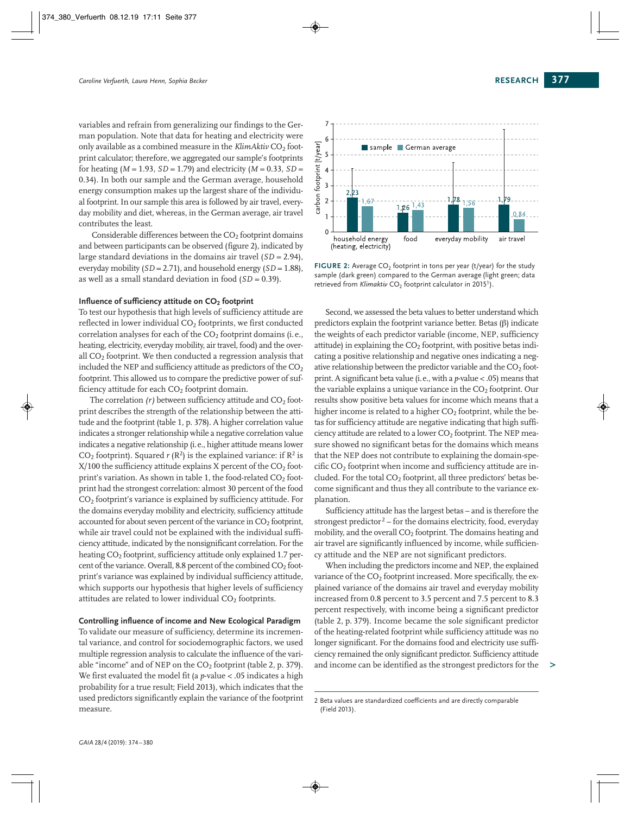variables and refrain from generalizing our findings to the German population. Note that data for heating and electricity were only available as a combined measure in the *KlimAktiv* CO<sub>2</sub> footprint calculator; therefore, we aggregated our sample's footprints for heating  $(M = 1.93, SD = 1.79)$  and electricity  $(M = 0.33, SD =$ 0.34). In both our sample and the German average, household energy consumption makes up the largest share of the individual footprint. In our sample this area is followed by air travel, everyday mobility and diet, whereas, in the German average, air travel contributes the least.

Considerable differences between the  $CO<sub>2</sub>$  footprint domains and between participants can be observed (figure 2), indicated by large standard deviations in the domains air travel (*SD* = 2.94), everyday mobility (*SD* = 2.71), and household energy (*SD* = 1.88), as well as a small standard deviation in food (*SD* = 0.39).

#### **Influence of sufficiency attitude on CO2 footprint**

To test our hypothesis that high levels of sufficiency attitude are reflected in lower individual  $CO<sub>2</sub>$  footprints, we first conducted correlation analyses for each of the  $CO<sub>2</sub>$  footprint domains (i.e., heating, electricity, everyday mobility, air travel, food) and the overall CO<sub>2</sub> footprint. We then conducted a regression analysis that included the NEP and sufficiency attitude as predictors of the  $CO<sub>2</sub>$ footprint. This allowed us to compare the predictive power of sufficiency attitude for each  $CO<sub>2</sub>$  footprint domain.

The correlation  $(r)$  between sufficiency attitude and  $CO<sub>2</sub>$  footprint describes the strength of the relationship between the attitude and the footprint (table 1, p. 378). A higher correlation value indicates a stronger relationship while a negative correlation value indicates a negative relationship (i.e., higher attitude means lower CO<sub>2</sub> footprint). Squared  $r(R^2)$  is the explained variance: if  $R^2$  is  $X/100$  the sufficiency attitude explains X percent of the  $CO<sub>2</sub>$  footprint's variation. As shown in table 1, the food-related  $CO<sub>2</sub>$  footprint had the strongest correlation: almost 30 percent of the food CO<sub>2</sub> footprint's variance is explained by sufficiency attitude. For the domains everyday mobility and electricity, sufficiency attitude accounted for about seven percent of the variance in  $CO<sub>2</sub>$  footprint, while air travel could not be explained with the individual sufficiency attitude, indicated by the nonsignificant correlation. For the heating CO<sub>2</sub> footprint, sufficiency attitude only explained 1.7 percent of the variance. Overall, 8.8 percent of the combined  $CO<sub>2</sub>$  footprint's variance was explained by individual sufficiency attitude, which supports our hypothesis that higher levels of sufficiency attitudes are related to lower individual CO<sub>2</sub> footprints.

#### **Controlling influence of income and New Ecological Paradigm**

To validate our measure of sufficiency, determine its incremental variance, and control for sociodemographic factors, we used multiple regression analysis to calculate the influence of the variable "income" and of NEP on the  $CO<sub>2</sub>$  footprint (table 2, p. 379). We first evaluated the model fit (a *p*-value < .05 indicates a high probability for a true result; Field 2013), which indicates that the used predictors significantly explain the variance of the footprint measure.



**FIGURE 2:** Average CO<sub>2</sub> footprint in tons per year (t/year) for the study sample (dark green) compared to the German average (light green; data retrieved from *Klimaktiv* CO<sub>2</sub> footprint calculator in 2015<sup>1</sup>).

Second, we assessed the beta values to better understand which predictors explain the footprint variance better. Betas (β) indicate the weights of each predictor variable (income, NEP, sufficiency attitude) in explaining the  $CO<sub>2</sub>$  footprint, with positive betas indicating a positive relationship and negative ones indicating a negative relationship between the predictor variable and the  $CO<sub>2</sub>$  footprint. A significant beta value (i.e., with a *p*-value < .05) means that the variable explains a unique variance in the  $CO<sub>2</sub>$  footprint. Our results show positive beta values for income which means that a higher income is related to a higher  $CO<sub>2</sub>$  footprint, while the betas for sufficiency attitude are negative indicating that high sufficiency attitude are related to a lower  $CO<sub>2</sub>$  footprint. The NEP measure showed no significant betas for the domains which means that the NEP does not contribute to explaining the domain-specific CO2 footprint when income and sufficiency attitude are included. For the total  $CO<sub>2</sub>$  footprint, all three predictors' betas become significant and thus they all contribute to the variance explanation.

Sufficiency attitude has the largest betas – and is therefore the strongest predictor<sup>2</sup> – for the domains electricity, food, everyday mobility, and the overall  $CO<sub>2</sub>$  footprint. The domains heating and air travel are significantly influenced by income, while sufficiency attitude and the NEP are not significant predictors.

When including the predictors income and NEP, the explained variance of the  $CO<sub>2</sub>$  footprint increased. More specifically, the explained variance of the domains air travel and everyday mobility increased from 0.8 percent to 3.5 percent and 7.5 percent to 8.3 percent respectively, with income being a significant predictor (table 2, p. 379). Income became the sole significant predictor of the heating-related footprint while sufficiency attitude was no longer significant. For the domains food and electricity use sufficiency remained the only significant predictor. Sufficiency attitude and income can be identified as the strongest predictors for the

**>**

<sup>2</sup> Beta values are standardized coefficients and are directly comparable (Field 2013).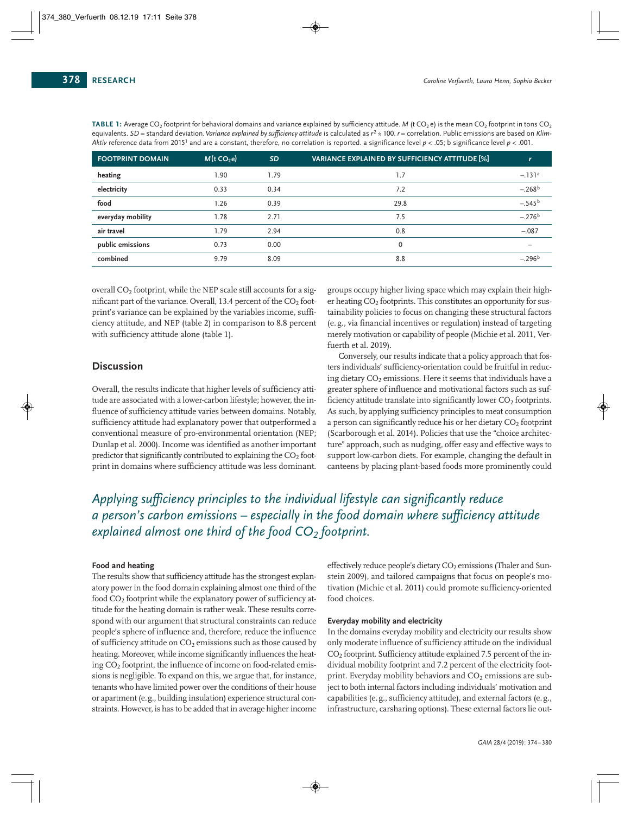| <b>FOOTPRINT DOMAIN</b> | M(t CO <sub>2</sub> e) | <b>SD</b> | VARIANCE EXPLAINED BY SUFFICIENCY ATTITUDE [%] |          |
|-------------------------|------------------------|-----------|------------------------------------------------|----------|
| heating                 | 1.90                   | 1.79      | 1.7                                            | $-.131a$ |
| electricity             | 0.33                   | 0.34      | 7.2                                            | $-.268b$ |
| food                    | 1.26                   | 0.39      | 29.8                                           | $-.545b$ |
| everyday mobility       | 1.78                   | 2.71      | 7.5                                            | $-.276b$ |
| air travel              | 1.79                   | 2.94      | 0.8                                            | $-.087$  |
| public emissions        | 0.73                   | 0.00      | $\mathbf{0}$                                   |          |
| combined                | 9.79                   | 8.09      | 8.8                                            | $-.296b$ |

**TABLE 1:** Average CO<sub>2</sub> footprint for behavioral domains and variance explained by sufficiency attitude. *M* (t CO<sub>2</sub> e) is the mean CO<sub>2</sub> footprint in tons CO<sub>2</sub> equivalents. *SD* = standard deviation.*Variance explained by sufficiency attitude* is calculated as *r* <sup>2</sup> \* 100. *r* = correlation. Public emissions are based on *Klim - Aktiv* reference data from 20151 and are a constant, therefore, no correlation is reported. a significance level *p* < .05; b significance level *p* < .001.

overall  $CO<sub>2</sub>$  footprint, while the NEP scale still accounts for a significant part of the variance. Overall, 13.4 percent of the  $CO<sub>2</sub>$  footprint's variance can be explained by the variables income, sufficiency attitude, and NEP (table 2) in comparison to 8.8 percent with sufficiency attitude alone (table 1).

# **Discussion**

Overall, the results indicate that higher levels of sufficiency atti tude are associated with a lower-carbon lifestyle; however, the influence of sufficiency attitude varies between domains. Notably, sufficiency attitude had explanatory power that outperformed a conventional measure of pro-environmental orientation (NEP; Dunlap et al. 2000). Income was identified as another important predictor that significantly contributed to explaining the  $CO<sub>2</sub>$  footprint in domains where sufficiency attitude was less dominant.

groups occupy higher living space which may explain their higher heating CO<sub>2</sub> footprints. This constitutes an opportunity for sustainability policies to focus on changing these structural factors (e. g., via financial incentives or regulation) instead of targeting merely motivation or capability of people (Michie et al. 2011, Ver fuerth et al. 2019).

Conversely, our results indicate that a policy approach that fosters individuals' sufficiency-orientation could be fruitful in reduc ing dietary  $CO<sub>2</sub>$  emissions. Here it seems that individuals have a greater sphere of influence and motivational factors such as sufficiency attitude translate into significantly lower  $CO<sub>2</sub>$  footprints. As such, by applying sufficiency principles to meat consumption a person can significantly reduce his or her dietary  $CO<sub>2</sub>$  footprint (Scarborough et al. 2014). Policies that use the "choice architecture" approach, such as nudging, offer easy and effective ways to support low-carbon diets. For example, changing the default in canteens by placing plant-based foods more prominently could

# *Applying sufficiency principles to the individual lifestyle can significantly reduce a person's carbon emissions – especially in the food domain where sufficiency attitude explained almost one third of the food CO2 footprint.*

## **Food and heating**

The results show that sufficiency attitude has the strongest explanatory power in the food domain explaining almost one third of the food CO<sub>2</sub> footprint while the explanatory power of sufficiency attitude for the heating domain is rather weak. These results correspond with our argument that structural constraints can reduce people's sphere of influence and, therefore, reduce the influence of sufficiency attitude on  $CO<sub>2</sub>$  emissions such as those caused by heating. Moreover, while income significantly influences the heating CO2 footprint, the influence of income on food-related emissions is negligible. To expand on this, we argue that, for instance, tenants who have limited power over the conditions of their house or apartment (e.g., building insulation) experience structural constraints. However, is has to be added that in average higher income

effectively reduce people's dietary CO<sub>2</sub> emissions (Thaler and Sunstein 2009), and tailored campaigns that focus on people's motivation (Michie et al. 2011) could promote sufficiency-oriented food choices.

## **Everyday mobility and electricity**

In the domains everyday mobility and electricity our results show only moderate influence of sufficiency attitude on the individual  $CO<sub>2</sub>$  footprint. Sufficiency attitude explained 7.5 percent of the individual mobility footprint and 7.2 percent of the electricity footprint. Everyday mobility behaviors and  $CO<sub>2</sub>$  emissions are subject to both internal factors including individuals' motivation and capabilities (e.g., sufficiency attitude), and external factors (e.g., infrastructure, carsharing options). These external factors lie out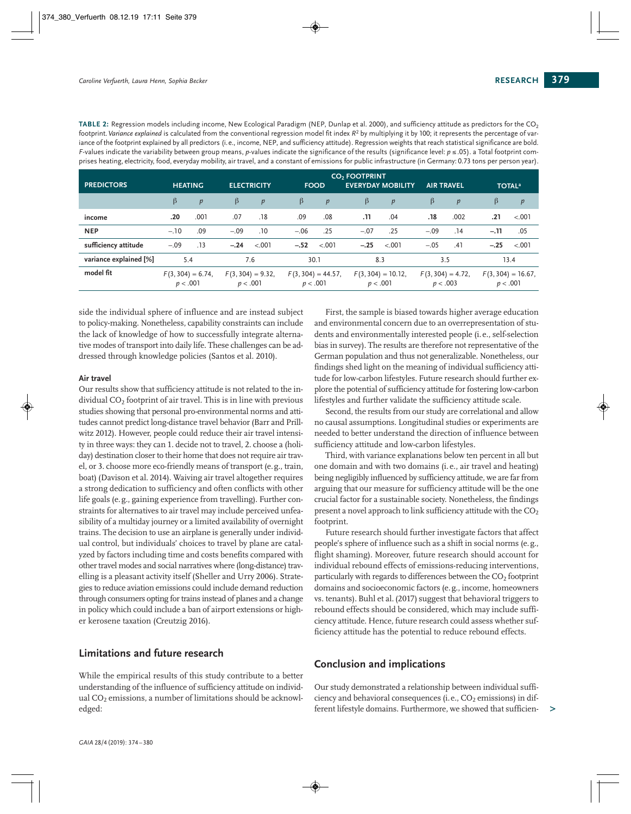TABLE 2: Regression models including income, New Ecological Paradigm (NEP, Dunlap et al. 2000), and sufficiency attitude as predictors for the CO<sub>2</sub> footprint. Variance explained is calculated from the conventional regression model fit index  $R^2$  by multiplying it by 100; it represents the percentage of variance of the footprint explained by all predictors (i.e., income, NEP, and sufficiency attitude). Regression weights that reach statistical significance are bold. *F*-values indicate the variability between group means, *p*-values indicate the significance of the results (significance level: *p* ≤ .05). a Total footprint comprises heating, electricity, food, everyday mobility, air travel, and a constant of emissions for public infrastructure (in Germany: 0.73 tons per person year).

| <b>PREDICTORS</b>      | <b>HEATING</b>                  |      | <b>ELECTRICITY</b>              |         | <b>FOOD</b>                      |         | CO <sub>2</sub> FOOTPRINT<br><b>EVERYDAY MOBILITY</b> |                                  | <b>AIR TRAVEL</b> |                                 | <b>TOTAL<sup>a</sup></b> |                                   |  |
|------------------------|---------------------------------|------|---------------------------------|---------|----------------------------------|---------|-------------------------------------------------------|----------------------------------|-------------------|---------------------------------|--------------------------|-----------------------------------|--|
|                        | β                               | p    | $\beta$                         | p       | $\beta$                          | p       | β                                                     | p                                | β                 | p                               | β                        | p                                 |  |
| income                 | .20                             | .001 | .07                             | .18     | .09                              | .08     | ٦٦.                                                   | .04                              | 18.               | .002                            | .21                      | < .001                            |  |
| <b>NEP</b>             | $-.10$                          | .09  | $-.09$                          | .10     | $-.06$                           | .25     | $-.07$                                                | .25                              | $-.09$            | .14                             | $-.11$                   | .05                               |  |
| sufficiency attitude   | $-.09$                          | .13  | $-.24$                          | $-.001$ | $-.52$                           | $-.001$ | $-.25$                                                | $-.001$                          | $-.05$            | .41                             | $-.25$                   | $-.001$                           |  |
| variance explained [%] | 5.4                             |      | 7.6                             |         | 30.1                             |         |                                                       | 8.3                              |                   | 3.5                             |                          | 13.4                              |  |
| model fit              | $F(3, 304) = 6.74,$<br>p < .001 |      | $F(3, 304) = 9.32,$<br>p < .001 |         | $F(3, 304) = 44.57,$<br>p < .001 |         |                                                       | $F(3, 304) = 10.12,$<br>p < .001 |                   | $F(3, 304) = 4.72,$<br>p < .003 |                          | $F(3, 304) = 16.67$ ,<br>p < .001 |  |

side the individual sphere of influence and are instead subject to policy-making. Nonetheless, capability constraints can include the lack of knowledge of how to successfully integrate alternative modes of transport into daily life. These challenges can be addressed through knowledge policies (Santos et al. 2010).

#### **Air travel**

Our results show that sufficiency attitude is not related to the individual  $CO<sub>2</sub>$  footprint of air travel. This is in line with previous studies showing that personal pro-environmental norms and attitudes cannot predict long-distance travel behavior (Barr and Prillwitz 2012). However, people could reduce their air travel intensi ty in three ways: they can 1. decide not to travel, 2. choose a (holiday) destination closer to their home that does not require air travel, or 3. choose more eco-friendly means of transport (e.g., train, boat) (Davison et al. 2014). Waiving air travel altogether requires a strong dedication to sufficiency and often conflicts with other life goals (e.g., gaining experience from travelling). Further constraints for alternatives to air travel may include perceived unfeasibility of a multiday journey or a limited availability of overnight trains. The decision to use an airplane is generally under individual control, but individuals' choices to travel by plane are catal yzed by factors including time and costs benefits compared with other travel modes and social narratives where (long-distance) travelling is a pleasant activity itself (Sheller and Urry 2006). Strategies to reduce aviation emissions could include demand reduction through consumers opting for trains instead of planes and a change in policy which could include a ban of airport extensions or higher kerosene taxation (Creutzig 2016).

# **Limitations and future research**

While the empirical results of this study contribute to a better understanding of the influence of sufficiency attitude on individual  $CO<sub>2</sub>$  emissions, a number of limitations should be acknowledged:

First, the sample is biased towards higher average education and environmental concern due to an overrepresentation of students and environmentally interested people (i.e., self-selection bias in survey). The results are therefore not representative of the German population and thus not generalizable. Nonetheless, our findings shed light on the meaning of individual sufficiency atti tude for low-carbon lifestyles. Future research should further explore the potential of sufficiency attitude for fostering low-carbon lifestyles and further validate the sufficiency attitude scale.

Second, the results from our study are correlational and allow no causal assumptions. Longitudinal studies or experiments are needed to better understand the direction of influence between sufficiency attitude and low-carbon lifestyles.

Third, with variance explanations below ten percent in all but one domain and with two domains (i. e., air travel and heating) being negligibly influenced by sufficiency attitude, we are far from arguing that our measure for sufficiency attitude will be the one crucial factor for a sustainable society. Nonetheless, the findings present a novel approach to link sufficiency attitude with the CO<sub>2</sub> footprint.

Future research should further investigate factors that affect people's sphere of influence such as a shift in social norms (e.g., flight shaming). Moreover, future research should account for individual rebound effects of emissions-reducing interventions, particularly with regards to differences between the  $CO<sub>2</sub>$  footprint domains and socioeconomic factors (e.g., income, homeowners vs. tenants). Buhl et al. (2017) suggest that behavioral triggers to rebound effects should be considered, which may include sufficiency attitude. Hence, future research could assess whether sufficiency attitude has the potential to reduce rebound effects.

# **Conclusion and implications**

Our study demonstrated a relationship between individual sufficiency and behavioral consequences (i.e.,  $CO<sub>2</sub>$  emissions) in different lifestyle domains. Furthermore, we showed that sufficien- **>**